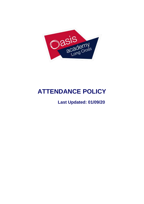

# **ATTENDANCE POLICY**

## **Last Updated: 01/09/20**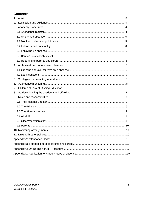### **Contents**

| $1_{-}$ |  |
|---------|--|
| 2.      |  |
| 3.      |  |
|         |  |
|         |  |
|         |  |
|         |  |
|         |  |
|         |  |
|         |  |
|         |  |
|         |  |
|         |  |
| 5.      |  |
| 6.      |  |
| 7.      |  |
| 8.      |  |
| 9.      |  |
|         |  |
|         |  |
|         |  |
|         |  |
|         |  |
|         |  |
|         |  |
|         |  |
|         |  |
|         |  |
|         |  |
|         |  |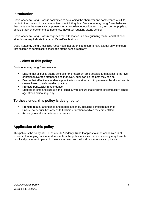### **Introduction**

Oasis Academy Long Cross is committed to developing the character and competence of all its pupils in the context of the communities in which they live. Oasis Academy Long Cross believes that these are the essential components for an excellent education and that, in order for pupils to develop their character and competence, they must regularly attend school.

Oasis Academy Long Cross recognises that attendance is a safeguarding matter and that poor attendance may indicate that a pupil's welfare is at risk.

Oasis Academy Long Cross also recognises that parents and carers have a legal duty to ensure that children of compulsory school age attend school regularly.

### **1. Aims of this policy**

Oasis Academy Long Cross aims to

- Ensure that all pupils attend school for the maximum time possible and at least to the level of national average attendance so that every pupil can be the best they can be.
- Ensure that effective attendance practice is understood and implemented by all staff and is closely linked to safeguarding practice
- Promote punctuality in attendance
- Support parents and carers in their legal duty to ensure that children of compulsory school age attend school regularly.

### **To these ends, this policy is designed to**

- Promote regular attendance and reduce absence, including persistent absence
- Ensure every pupil has access to full time education to which they are entitled
- Act early to address patterns of absence

### **Application of this policy**

This policy is the policy of OCL as a Multi Academy Trust. It applies to all its academies in all aspects of managing pupil attendance unless the policy indicates that an academy may have its own local processes in place. In these circumstances the local processes are applicable.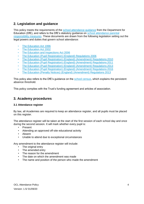### <span id="page-3-0"></span>**2. Legislation and guidance**

This policy meets the requirements of the [school attendance guidance](https://www.gov.uk/government/publications/school-attendance) from the Department for Education (DfE), and refers to the DfE's statutory guidance on [school attendance parental](https://www.gov.uk/government/publications/parental-responsibility-measures-for-behaviour-and-attendance) [responsibility measures. T](https://www.gov.uk/government/publications/parental-responsibility-measures-for-behaviour-and-attendance)hese documents are drawn from the following legislation setting out the legal powers and duties that govern school attendance:

- [The Education Act](https://www.legislation.gov.uk/ukpga/1996/56/part/VI/chapter/II) 1996
- [The Education Act](http://www.legislation.gov.uk/ukpga/2002/32/part/3/chapter/3) 2002
- [The Education and Inspections Act](http://www.legislation.gov.uk/ukpga/2006/40/part/7/chapter/2/crossheading/school-attendance) 2006
- [The Education \(Pupil Registration\) \(England\) Regulations](http://www.legislation.gov.uk/uksi/2006/1751/contents/made) 2006
- [The Education \(Pupil Registration\) \(England\) \(Amendment\) Regulations](http://www.centralbedfordshire.gov.uk/Images/amendment-regulation-2010_tcm3-8642.pdf) 2010
- [The Education \(Pupil Registration\) \(England\) \(Amendment\) Regulations](http://www.legislation.gov.uk/uksi/2011/1625/made) 2011
- [The Education \(Pupil Registration\) \(England\) \(Amendment\) Regulations](http://www.legislation.gov.uk/uksi/2013/756/made) 2013
- [The Education \(Pupil Registration\) \(England\) \(Amendment\) Regulations](http://legislation.data.gov.uk/uksi/2016/792/made/data.html) 2016
- [The Education \(Penalty Notices\) \(England\) \(Amendment\) Regulations](http://www.legislation.gov.uk/uksi/2013/756/pdfs/uksiem_20130756_en.pdf) 2013

This policy also refers to the DfE's guidance on the [school census, w](https://www.gov.uk/government/publications/school-census-2017-to-2018-guide-for-schools-and-las)hich explains the persistent absence threshold.

This policy complies with the Trust's funding agreement and articles of association.

### <span id="page-3-1"></span>**3. Academy procedures**

#### <span id="page-3-2"></span>**3.1 Attendance register**

By law, all Academies are required to keep an attendance register, and all pupils must be placed on this register.

The attendance register will be taken at the start of the first session of each school day and once during the second session. It will mark whether every pupil is:

- Present
- Attending an approved off-site educational activity
- Absent
- Unable to attend due to exceptional circumstances

Any amendment to the attendance register will include:

- The original entry
- The amended entry
- The reason for the amendment
- The date on which the amendment was made
- The name and position of the person who made the amendment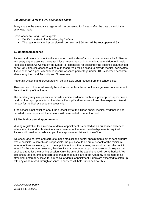#### *See Appendix A for the DfE attendance codes.*

Every entry in the attendance register will be preserved for 3 years after the date on which the entry was made.

Oasis Academy Long Cross expects

- Pupil's to arrive in the Academy by 8.45am
- The register for the first session will be taken at 8.50 and will be kept open until 9am

#### <span id="page-4-0"></span>**3.2 Unplanned absence**

Parents and carers must notify the school on the first day of an unplanned absence by 8.45am – and every day of absence thereafter if for example their child is unable to attend due to ill health (see also section 6). Ultimately the School is responsible for deciding if the absence is authorised or not. Only genuine absence will be authorised. You will be asked to provide medical certificates if your child has a poor attendance record. Absence percentage under 90% is deemed persistent absence by the Local Authority and Government.

Reporting systems and procedures will be available upon request from the school office.

Absence due to illness will usually be authorised unless the school has a genuine concern about the authenticity of the illness.

The academy may ask parents to provide medical evidence, such as a prescription, appointment card or other appropriate form of evidence if a pupil's attendance is lower than expected. We will not ask for medical evidence unnecessarily.

If the school is not satisfied about the authenticity of the illness and/or medical evidence is not provided when requested, the absence will be recorded as unauthorised.

#### <span id="page-4-1"></span>**3.3 Medical or dental appointments**

Missing registration for a medical or dental appointment is counted as an authorised absence; advance notice and authorisation from a member of the senior leadership team is required. Parents will need to provide a copy of any appointment letters to the office.

We encourage parents and carers to make medical and dental appointments out of school hours where possible. Where this is not possible, the pupil should be out of school for the minimum amount of time necessary, i.e. if the appointment is in the morning we would expect the pupil to attend for the afternoon session, likewise if it is an afternoon appointment we would expect the pupil to attend for the morning session. Only the time of the appointment will be authorised. We also encourage parents and carers to ensure that pupils are in the Academy to be marked as attending, before they leave for a medical or dental appointment. Pupils are expected to catch-up with any work missed through absence. Teachers will help pupils achieve this.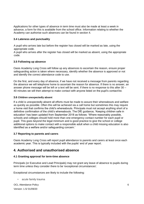Applications for other types of absence in term time must also be made at least a week in advance, a form for this is available from the school office. Information relating to whether the Academy can authorise such absences can be found in section 4.

#### <span id="page-5-0"></span>**3.4 Lateness and punctuality**

A pupil who arrives late but before the register has closed will be marked as late, using the appropriate code.

A pupil who arrives after the register has closed will be marked as absent, using the appropriate code.

#### <span id="page-5-1"></span>**3.5 Following up absence**

Oasis Academy Long Cross will follow up any absences to ascertain the reason, ensure proper safeguarding action is taken where necessary, identify whether the absence is approved or not and identify the correct attendance code to use.

On the first, and every day of absence, if we have not received a message from parents regarding the absence we will telephone home to ascertain the reason for absence. If there is no answer, an answer phone message will be left or a text will be sent. If there is no response to this after 30 – 40 minutes we will then attempt to make contact with anyone listed on the pupil's contact list.

#### **3.6 Children unexpectedly absent**

If a child is unexpectedly absent all efforts must be made to assure their whereabouts and welfare as quickly as possible. Often this will be achieved via a call home but sometimes this may require a home visit that confirms the child's whereabouts. Principals must not accept anything short of a definitive confirmation of the child's whereabouts. The DfE guidance, 'Keeping children safe in education' has been updated from September 2018 as follows: 'Where reasonably possible, schools and colleges should hold more than one emergency contact number for each pupil or pupil. This goes beyond the legal minimum and is good practice to give the school or college additional options to make contact with a responsible adult when a child missing education is also identified as a welfare and/or safeguarding concern.'

#### <span id="page-5-2"></span>**3.7 Reporting to parents and carers**

Oasis Academy Long Cross will report pupil attendance to parents and carers at least once each academic year. This is typically included with the pupils' end of year report.

### <span id="page-5-3"></span>**4. Authorised and unauthorised absence**

#### <span id="page-5-4"></span>**4.1 Granting approval for term-time absence**

Principals (or Executive and Lead Principals) may not grant any leave of absence to pupils during term time unless they consider there to be 'exceptional circumstances'.

Exceptional circumstances are likely to include the following:

• acute family trauma

OCL Attendance Policy Version: 1.5/ 01/09/20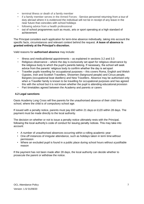- terminal illness or death of a family member
- if a family member serves in the Armed Forces Service personnel returning from a tour of duty abroad where it is evidenced the individual will not be in receipt of any leave in the near future that coincides with school holidays
- following advice from a health professional
- out of school programmes such as music, arts or sport operating at a high standard of achievement

The Principal considers each application for term-time absence individually, taking into account the specific facts, circumstances and relevant context behind the request. **A leave of absence is granted entirely at the Principal's discretion.**

Valid reasons for **authorised absence** may include:

- Illness and medical/dental appointments as explained in sections 3.2 and 3.3
- Religious observance where the day is exclusively set apart for religious observance by the religious body to which the pupil's parents belong. If necessary, the school will seek advice from the parents' religious body to confirm whether the day is set apart
- Traveller pupils travelling for occupational purposes this covers Roma, English and Welsh Gypsies, Irish and Scottish Travellers, Showmen (fairground people) and Circus people, Bargees (occupational boat dwellers) and New Travellers. Absence may be authorised only when a Traveller family is known to be travelling for occupational purposes and has agreed this with the school but it is not known whether the pupil is attending educational provision
- Part timetables agreed between the Academy and parents or carers

#### <span id="page-6-0"></span>**4.2 Legal sanctions**

Oasis Academy Long Cross will fine parents for the unauthorised absence of their child from school, where the child is of compulsory school age.

If issued with a penalty notice, parents must pay £60 within 21 days or £120 within 28 days. The payment must be made directly to the local authority.

The decision on whether or not to issue a penalty notice ultimately rests with the Principal, following the local authority's code of conduct for issuing penalty notices. This may take into account:

- A number of unauthorised absences occurring within a rolling academic year
- One-off instances of irregular attendance, such as holidays taken in term time without permission
- Where an excluded pupil is found in a public place during school hours without a justifiable reason

If the payment has not been made after 28 days, the local authority can decide whether to prosecute the parent or withdraw the notice.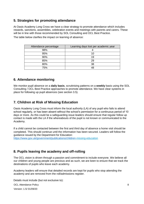### <span id="page-7-0"></span>**5. Strategies for promoting attendance**

At Oasis Academy Long Cross we have a clear strategy to promote attendance which includes rewards, sanctions, assemblies, celebration events and meetings with parents and carers. These will be in line with those recommended by SOL Consulting and OCL Best Practice.

The table below clarifies the impact on learning of absence:

| Attendance percentage | Learning days lost per academic year |
|-----------------------|--------------------------------------|
| 98%                   |                                      |
| 95%                   |                                      |
| 90%                   | 19                                   |
| 85%                   | 29                                   |
| 80%                   | 38                                   |
| 75%                   |                                      |

### <span id="page-7-1"></span>**6. Attendance monitoring**

We monitor pupil absence on a **daily basis**, scrutinising patterns on a **weekly** basis using the SOL Consulting / OCL Best Practice approaches to promote attendance. We have clear systems in place for following up pupil absences (see section 3.5).

### <span id="page-7-2"></span>**7. Children at Risk of Missing Education**

Oasis Academy Long Cross must inform the local authority (LA) of any pupil who fails to attend school regularly, or has been absent without the school's permission for a continuous period of 10 days or more. As this could be a safeguarding issue leaders should ensure that regular follow up contact is made with the LA if the whereabouts of the pupil is not known or communicated to the Academy.

If a child cannot be contacted between the first and third day of absence a home visit should be completed. This should continue until the information has been secured. Leaders will follow the guidance issued by the Department for Education:

[https://www.gov.uk/government/publications/children-](https://www.gov.uk/government/publications/children)[missing-education](https://www.gov.uk/government/publications/children-missing-education)

### **8. Pupils leaving the academy and off-rolling**

The OCL vision is driven through a passion and commitment to include everyone. We believe all our children and young people are precious and as such, we are keen to ensure that we track the destinations of pupils who leave each academy.

Academy leaders will ensure that detailed records are kept for pupils who stop attending the academy and are removed from the roll/admissions register.

Details must include (but not exclusive to):

OCL Attendance Policy

Version: 1.5/ 01/09/20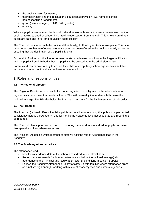- the pupil's reason for leaving,
- their destination and the destination's educational provision (e.g. name of school, homeschooling arrangements)
- group (disadvantaged, SEND, EAL, gender)
- ethnicity

Where a pupil moves abroad, leaders will take all reasonable steps to assure themselves that the pupil is moving to another school. This may include support from the Hub. This is to ensure that all pupils are safe and in full time education as necessary.

The Principal must meet with the pupil and their family, if off rolling is likely to take place. This is in order to ensure that an effective level of support has been offered to the pupil and family as well as ensuring that the destination of the pupil is known.

On receipt of written notification to **home educate**, Academies must inform the Regional Director and the pupilt's Local Authority that the pupil is to be deleted from the admission register.

Parents and carers have a duty to ensure their child of compulsory school age receives suitable full time education but this does not have to be at a school.

### <span id="page-8-0"></span>**9. Roles and responsibilities**

#### <span id="page-8-1"></span>**9.1 The Regional Director**

The Regional Director is responsible for monitoring attendance figures for the whole school on a regular basis but no less than each half term. This will be weekly if attendance falls below the national average. The RD also holds the Principal to account for the implementation of this policy.

#### <span id="page-8-2"></span>**9.2 The Principal**

The Principal (or Lead / Executive Principal) is responsible for ensuring this policy is implemented consistently across the Academy, and for monitoring Academy-level absence data and reporting it as required.

The Principal also supports other staff in monitoring the attendance of individual pupils and issues fixed-penalty notices, where necessary.

The Principal will decide which member of staff will fulfil the role of Attendance lead in the Academy.

#### **9.3 The Academy Attendance Lead**

The attendance lead:

- Monitors attendance data at the school and individual pupil level daily
- Reports at least weekly (daily when attendance is below the national average) about attendance to the Principal and Regional Director (if conditions in section 6 apply)
- Follows the Academy Attendance Policy to follow up with families where attendance drops or is not yet high enough, working with relevant academy staff and external agencies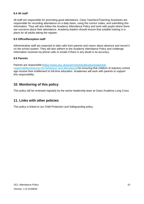#### <span id="page-9-0"></span>**9.4 All staff**

All staff are responsible for promoting good attendance. Class Teachers/Teaching Assistants are responsible for recording attendance on a daily basis, using the correct codes, and submitting this information. They will also follow the Academy Attendance Policy and work with pupils where there are concerns about their attendance. Academy leaders should ensure that suitable training is in place for all adults taking the register.

#### <span id="page-9-1"></span>**9.5 Office/Reception staff**

Administrative staff are expected to take calls from parents and carers about absence and record it on the school system. They will also adhere to the Academy Attendance Policy and challenge information received via phone calls or emails if there is any doubt in its accuracy.

#### <span id="page-9-2"></span>**9.6 Parents**

Parents are responsible [\(https://www.gov.uk/government/publications/parental](https://www.gov.uk/government/publications/parental-responsibility-measures-for-behaviour-and-attendance)[responsibilitymeasures-for-behaviour-and-attendance\) f](https://www.gov.uk/government/publications/parental-responsibility-measures-for-behaviour-and-attendance)or ensuring that children of statutory school age receive their entitlement to full-time education. Academies will work with parents to support this responsibility.

### **10. Monitoring of this policy**

This policy will be reviewed regularly by the senior leadership team at Oasis Academy Long Cross

### <span id="page-9-3"></span>**11. Links with other policies**

This policy is linked to our Child Protection and Safeguarding policy.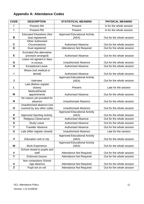### <span id="page-10-0"></span>**Appendix A: Attendance Codes**

| <b>CODE</b> | <b>DESCRIPTION</b>                | <b>STATISTICAL MEANING</b>           | <b>PHYSICAL MEANING</b>   |
|-------------|-----------------------------------|--------------------------------------|---------------------------|
|             | <b>Present AM</b>                 | Present                              | In for the whole session  |
| V           | Present PM                        | Present                              | In for the whole session  |
|             | <b>Educated Elsewhere (Not</b>    | <b>Approved Educational Activity</b> |                           |
| B           | dual registered)                  | (AEA)                                | Out for the whole session |
|             | <b>Other Authorised</b>           |                                      |                           |
| $\mathbf c$ | Circumstances                     | <b>Authorised Absence</b>            | Out for the whole session |
| D           | Dual registered                   | <b>Attendance Not Required</b>       | Out for the whole session |
|             | Excluded (No alternative          |                                      |                           |
| Е           | provision arranged)               | <b>Authorised Absence</b>            | Out for the whole session |
|             | Leave not agreed or days          |                                      |                           |
| G           | in excess                         | <b>Unauthorised Absence</b>          | Out for the whole session |
| H           | <b>Exceptional Leave</b>          | <b>Authorised Absence</b>            | Out for the whole session |
|             | Illness (not medical or           |                                      |                           |
| I           | dental)                           | <b>Authorised Absence</b>            | Out for the whole session |
|             |                                   | <b>Approved Educational Activity</b> |                           |
| J           | Interview                         | (AEA)                                | Out for the whole session |
| L           | Late (Before register             | Present                              | Late for the session      |
|             | closes)<br>Medical/Dental         |                                      |                           |
| M           | appointments                      | <b>Authorised Absence</b>            | Out for the whole session |
|             | No reason yet provided for        |                                      |                           |
| N           | absence                           | <b>Unauthorised Absence</b>          | Out for the whole session |
|             | Unauthorised absence (not         |                                      |                           |
| O           | covered by any other code)        | <b>Unauthorised Absence</b>          | Out for the whole session |
|             |                                   | <b>Approved Educational Activity</b> |                           |
| P           | <b>Approved Sporting Activity</b> | (AEA)                                | Out for the whole session |
| R           | Religious Observance              | <b>Authorised Absence</b>            | Out for the whole session |
| S           | <b>Study Leave</b>                | <b>Authorised Absence</b>            | Out for the whole session |
| T           | <b>Traveller Absence</b>          | <b>Authorised Absence</b>            | Out for the whole session |
| $\mathbf U$ | Late (After register closed)      | <b>Unauthorised Absence</b>          | Late for the session      |
|             |                                   | <b>Approved Educational Activity</b> |                           |
| $\mathbf v$ | Education visit or trip           | (AEA)                                | Out for the whole session |
|             |                                   | <b>Approved Educational Activity</b> |                           |
| W           | <b>Work Experience</b>            | (AEA)                                | Out for the whole session |
|             | School closed to pupils and       |                                      |                           |
| #           | staff                             | <b>Attendance Not Required</b>       | Out for the whole session |
| Y           | Enforced closure                  | <b>Attendance Not Required</b>       | Out for the whole session |
|             | Non compulsory School             |                                      |                           |
| X           | Age absence                       | <b>Attendance Not Required</b>       | Out for the whole session |
| Z           | Pupil not on roll                 | <b>Attendance Not Required</b>       | Out for the whole session |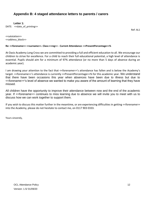### **Appendix B: 4 staged attendance letters to parents / carers**

**Letter 1:**

DATE: << date\_of\_printing>>

Ref: AL1

<<salutation>> <<address\_block>>

#### **Re: <<forename>> <<surname>>. Class:<<reg>> - Current Attendance: <<PresentPercentage>>%**

At Oasis Academy Long Cross we are committed to providing a full and efficient education to all. We encourage our children to strive for excellence. For a child to reach their full educational potential, a high level of attendance is essential. Pupils should aim for a minimum of 97% attendance (or no more than 5 days of absence during an academic year).

I am drawing your attention to the fact that <<forename>>'s attendance has fallen and is below the Academy's target. <<forename>>'s attendance is currently <<PresentPercentage>>% for this academic year. We understand that there have been occasions this year when absences have been due to illness but due to <<forename>>'s level of absence we wanted to make you aware of the amount of learning that they have missed.

All children have the opportunity to improve their attendance between now and the end of the academic year. If <<forename>> continues to miss learning due to absence we will invite you to meet with us to discuss how we can work together to support them.

If you wish to discuss this matter further in the meantime, or are experiencing difficulties in getting <<forename>> into the Academy, please do not hesitate to contact me, on 0117 903 0333.

Yours sincerely,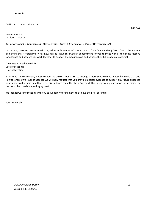#### **Letter 2:**

DATE: << date\_of\_printing>>

<<salutation>> <<address\_block>>

#### **Re: <<forename>> <<surname>>. Class:<<reg>> - Current Attendance: <<PresentPercentage>>%**

I am writing to express concerns with regards to <<foreneme>>'s attendance to Oasis Academy Long Cross. Due to the amount of learning that <<forename>> has now missed I have reserved an appointment for you to meet with us to discuss reasons for absence and how we can work together to support them to improve and achieve their full academic potential.

The meeting is scheduled for: Date of Meeting: Time of Meeting:

If this time is inconvenient, please contact me on 0117 903 0333. to arrange a more suitable time. Please be aware that due to <<forename>>'s level of absence we will now request that you provide medical evidence to support any future absences or absences will remain unauthorised. This evidence can either be a Doctor's letter, a copy of a prescription for medicine, or the prescribed medicine packaging itself.

We look forward to meeting with you to support << forename>> to achieve their full potential.

Yours sincerely,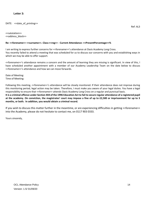DATE: << date\_of\_printing>>

<<salutation>> <<address\_block>>

#### **Re: <<forename>> <<surname>>. Class:<<reg>> - Current Attendance: <<PresentPercentage>>%**

I am writing to express further concerns for <<forename>>'s attendance at Oasis Academy Long Cross. You recently failed to attend a meeting that was scheduled for us to discuss our concerns with you and establishing ways in which we may be able to offer support.

<<forename>>'s attendance remains a concern and the amount of learning they are missing is significant. In view of this, I have scheduled another appointment with a member of our Academy Leadership Team on the date below to discuss <<forename>>'s attendance and how we can move forwards.

Date of Meeting: Time of Meeting:

Following this meeting, <<forename>>'s attendance will be closely monitored. If their attendance does not improve during this monitoring period, legal action may be taken. Therefore, I must make you aware of your legal duties. You have a legal responsibility to ensure that <<forename>> attends Oasis Academy Long Cross on a regular and punctual basis.

**It is a criminal offence under Section 444 of the 1996 Education Act to fail to secure regular attendance of a registered pupil at the academy. On conviction, the magistrates' court may impose a fine of up to £2,500 or imprisonment for up to 3 months, or both. In addition, you would obtain a criminal record.** 

If you wish to discuss this matter further in the meantime, or are experiencing difficulties in getting <<forename>> into the Academy, please do not hesitate to contact me, on 0117 903 0333.

Yours sincerely,

Ref: AL3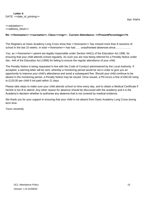#### **Letter 4**: DATE: << date\_of\_printing>>

<<salutation>> <<address\_block>>

#### **Re: <<forename>> <<surname>>. Class:<<reg>> - Current Attendance: <<PresentPercentage>>%**

The Registers at Oasis Academy Long Cross show that <<forename>> has missed more than 8 sessions of school in the last 10 weeks. In total << forename>> has had ….. unauthorised absences since……………….

You, as <<forename>> parent are legally responsible under Section 444(1) of the Education Act 1996, for ensuring that your child attends school regularly. As such you are now being referred for a Penalty Notice under Sec. 444 of the Education Act (1996) for failing to ensure the regular attendance of your child.

The Penalty Notice is being requested in line with the Code of Conduct administered by the Local Authority. If accepted, a warning letter will be sent, whereby a monitoring period would be set in order to give you an opportunity to improve your child's attendance and avoid a subsequent fine. Should your child continue to be absent in the monitoring period, a Penalty Notice may be issued. Once issued, a PN incurs a fine of £60.00 rising to £120.00 per child if not paid within 21 days.

Please take steps to make sure your child attends school on time every day, and to obtain a Medical Certificate if he/she is too ill to attend. Any other reason for absence should be discussed with the academy and it is the Academy's decision whether to authorise any absence that is not covered by medical evidence.

We thank you for your support in ensuring that your child is not absent from Oasis Academy Long Cross during term time.

Yours sincerely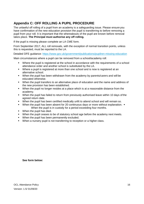### <span id="page-15-0"></span>**Appendix C: OFF ROLLING A PUPIL PROCEDURE**

The unlawful off rolling of a pupil from an academy is a safeguarding issue. Please ensure you have confirmation of the new education provision the pupil is transferring to before removing a pupil from your roll. It is important that the whereabouts of the pupil are known before removal takes place. **The Principal must authorise any off rolling.**

If the pupil is missing please complete an LA CME form.

From September 2017, ALL roll removals, with the exception of normal transition points, unless this is requested, must be reported to the LA.

Detailed DFE guidance: [https://www.gov.uk/government/publications/pupilren-missing-education](https://www.gov.uk/government/publications/children-missing-education)

Main circumstances where a pupil can be removed from a school/academy roll:

- Where the pupil is registered at the school in accordance with the requirements of a school attendance order and another school is substituted by the LA.
- Where a pupil is registered at more than one school and is now is registered at an alternative school.
- When the pupil has been withdrawn from the academy by parents/carers and will be educated otherwise.
- When the pupil transfers to an alternative place of education and the name and address of the new provision has been established.
- When the pupil no longer resides at a place which is at a reasonable distance from the academy.
- When the pupil has failed to return from previously authorised leave within 10 days of the agreed return date.
- When the pupil has been certified medically unfit to attend school and will remain so.
- When the pupil has been absent for 20 continuous days or more without explanation. When the pupil is in custody for a period exceeding four months.
- **When the pupil has died.**
- When the pupil ceases to be of statutory school age before the academy next meets.
- **When the pupil has been permanently excluded.**
- When a nursery pupil is not transferring to reception or a higher class.

**See form below:**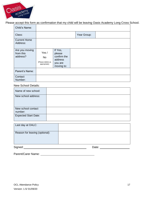

### Please accept this form as confirmation that my child will be leaving Oasis Academy Long Cross School.

| Child's Name:                           |                                                         |                                                                      |             |  |
|-----------------------------------------|---------------------------------------------------------|----------------------------------------------------------------------|-------------|--|
| Class:                                  |                                                         |                                                                      | Year Group: |  |
| <b>Current Home</b><br>Address:         |                                                         |                                                                      |             |  |
| Are you moving<br>from this<br>address? | Yes /<br><b>No</b><br>(Please delete as<br>appropriate) | If Yes,<br>please<br>confirm the<br>address<br>you are<br>moving to: |             |  |
| Parent's Name:                          |                                                         |                                                                      |             |  |
| Contact<br>Number:                      |                                                         |                                                                      |             |  |

#### New School Details:

| Name of new school:           |  |
|-------------------------------|--|
| New school address:           |  |
| New school contact<br>number: |  |
| <b>Expected Start Date:</b>   |  |

| Last day at OALC:              |       |
|--------------------------------|-------|
| Reason for leaving (optional): |       |
| Signed:                        | Date: |

Parent/Carer Name: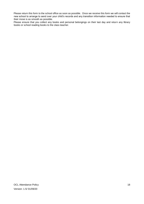Please return this form to the school office as soon as possible. Once we receive this form we will contact the new school to arrange to send over your child's records and any transition information needed to ensure that their move is as smooth as possible.

Please ensure that you collect any books and personal belongings on their last day and return any library books or school reading books to the class teacher.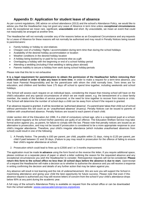### **Appendix D: Application for student leave of absence**

<span id="page-18-0"></span>As per current regulations, DfE advice on school attendance (2013) and the school's Attendance Policy, we would like to advise you that the Headteacher may not grant any Leave of Absence in term time unless **exceptional circumstances**  exist. By exceptional we mean rare, significant, **unavoidable** and short. By unavoidable, we mean an event that could not reasonably be arranged at another time.

The Headteacher will not normally consider any of the reasons below as an Exceptional Circumstance and any requests for a Leave of Absence for these reasons will not normally be authorised and may result in Penalty Notices being issued to parents/carers:

- Family holiday or holiday to visit relatives
- Cheaper cost of a holiday / flights / accommodation during term-time than during the school holidays
- Availability of the desired holiday accommodation or location
- Weather conditions in the desired holiday location
- A holiday being booked by or paid for by someone else as a gift
- Overlapping a holiday with the beginning or end of a school holiday period
- Attending a wedding (including if that wedding is taking place abroad)
- Parents inability to secure a holiday from work during school holiday periods

#### Please note that this list is not exhaustive

**It is a legal requirement for parents/carers to obtain the permission of the Headteacher before removing their child from school in order to take any leave in term time.** In order to make a request for a term-time absence, you must have Parental Responsibility and be the parent/carer with whom the child normally lives. Term times are for education, and children and families have 175 days off school to spend time together, including weekends and school holidays.

The School will assess each request on an individual basis, considering the impact that missing school will have on the child's education and any special circumstances of which we are made aware, e.g. the bereavement of a close family member, the needs of the families of service personnel, or the need for time together to recover from trauma or crisis. The School will determine the number of school days a child can be away from school if the request is granted.

If an absence request is granted, it will be recorded as 'authorised absence'. If a parent/carer takes their child out of school without permission this will count as an 'unauthorised absence' (truancy). Penalty Notices can be issued to parents of children with unauthorised absence. Penalty Notices are issued to each parent of each child.

Under section 444 of the Education Act 1996, if a child of compulsory school age, who is a registered pupil at a school, fails to attend regularly at the school his/her parent(s) are guilty of an offence. The Education Welfare Service may take formal action against you, as parent, for failure to comply with the law. Please note that penalty notices are issued as an alternative to prosecution, and may not be issued if prosecution is considered to be a more appropriate response to your child's irregular attendance. Therefore, your child's irregular attendance (which includes unauthorised absences from school) could result in one of the following:

- 1. A Penalty Notice. The penalty is £60 per parent, per child, payable within 21 days, rising to £120 per parent, per child if paid between 22 and 28 days. (Failure to pay may result in prosecution for the offence of failing to ensure their child's regular attendance at school.
- 2. Prosecution which could lead to fines up to £2500 and / or 3 months imprisonment.

The application must be made **in advance** using the form found on the reverse this letter**.** If you require additional space, please continue on a separate piece of paper or attach a letter outlining the reason for the requested absence and any exceptional circumstances you wish the Headteacher to consider. Retrospective requests will not be considered. **Please return this form to the school office no less than 10 school days before the absence is due to start.** Uponreceipt of a request the Headteacher will make a decision as to whether to authorise the absence and you will receive a response in writing confirming the decision and details of any further action that may be taken against you.

Any absence will result in lost learning and the risk of underachievement. We are sure you will support the School in maximising attendance and giving your child the best opportunity for future success. Please note that even if this absence request is authorised you may still receive letters of concern from the school if your child's attendance drops below 90% at any point during the academic year.

A full copy of the school's Attendance Policy is available on request from the school office or can be downloaded from the school website: [wwww.oasisacademylongcross.org/policies](http://www.abhps.com/policies)